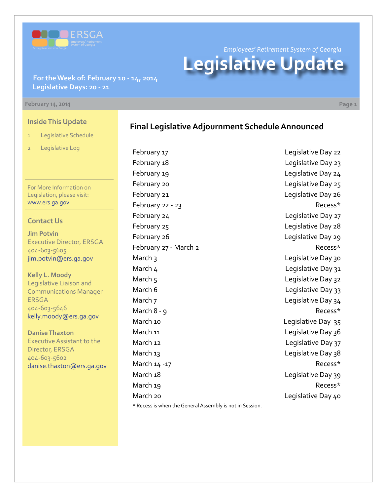

*Employees' Retirement System of Georgia* **Legislative Update**

**For the Week of: February 10 - 14, 2014 Legislative Days: 20 - 21**

#### **February 14, 2014 Page 1**

### **Inside This Update**

- 1 Legislative Schedule
- 2 Legislative Log

For More Information on Legislation, please visit: [www.ers.ga.gov](http://www.ers.ga.gov/default.aspx)

### **Contact Us**

**Jim Potvin** Executive Director, ERSGA 404-603-5605 jim.potvin@ers.ga.gov

**Kelly L. Moody** Legislative Liaison and Communications Manager ERSGA 404-603-5646 kelly.moody@ers.ga.gov

**Danise Thaxton** Executive Assistant to the Director, ERSGA 404-603-5602 danise.thaxton@ers.ga.gov

## **Final Legislative Adjournment Schedule Announced**

February 17 **Example 22** Legislative Day 22 February 18 **Example 23** Legislative Day 23 February 19 **Legislative Day 24** February 20 **Legislative Day 25** February 21 **Example 21** Legislative Day 26 February 22 - 23 Recess\* February 24 **Legislative Day 27** February 25 and 20 Equilibrium Company 28 February 26 **Legislative Day 29** February 27 - March 2 Recess\* March 3 and 30 Legislative Day 30 March 4 Legislative Day 31 March 5 Legislative Day 32 March 6 **Legislative Day 33** March 7 Legislative Day 34 March 8 - 9 Recess\* March 10 **March 10** Legislative Day 35 March 11 March 11 March 11 March 11 March 11 March 12 **March 12** Legislative Day 37 March 13 March 13 March 14 -17 Recess\* March 18 **March 18** Legislative Day 39 March 19 Recess\* March 20 **March 20** Legislative Day 40 \* Recess is when the General Assembly is not in Session.